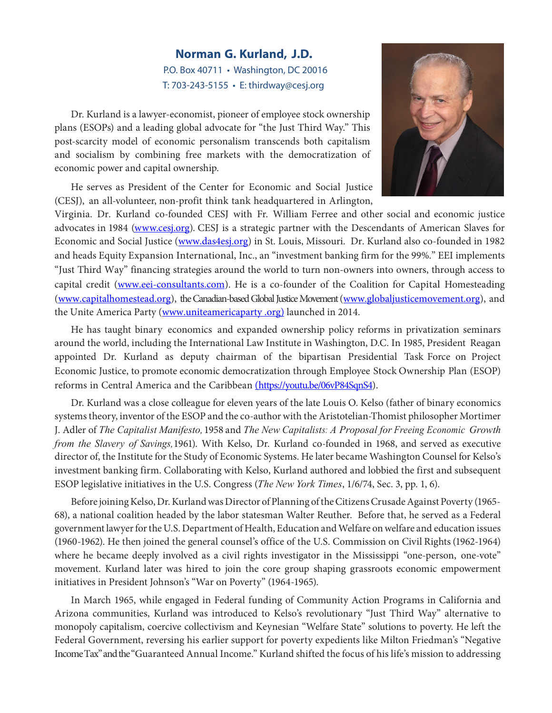## **Norman G. Kurland, J.D.** P.O. Box 40711 • Washington, DC 20016 T: 703-243-5155 • E: thirdway@cesj.org

Dr. Kurland is a lawyer-economist, pioneer of employee stock ownership plans (ESOPs) and a leading global advocate for "the Just Third Way." This post-scarcity model of economic personalism transcends both capitalism and socialism by combining free markets with the democratization of economic power and capital ownership.

He serves as President of the Center for Economic and Social Justice (CESJ), an all-volunteer, non-profit think tank headquartered in Arlington,



Virginia. Dr. Kurland co-founded CESJ with Fr. William Ferree and other social and economic justice advocates in 1984 (www.cesj.org). CESJ is a strategic partner with the Descendants of American Slaves for Economic and Social Justice (www.das4esj.org) in St. Louis, Missouri. Dr. Kurland also co-founded in 1982 and heads Equity Expansion International, Inc., an "investment banking firm for the 99%." EEI implements "Just Third Way" financing strategies around the world to turn non-owners into owners, through access to capital credit (www.eei-consultants.com). He is a co-founder of the Coalition for Capital Homesteading (www.capitalhomestead.org), the Canadian-based Global Justice Movement(www.globaljusticemovement.org), and the Unite America Party (www.uniteamericaparty .org) launched in 2014.

He has taught binary economics and expanded ownership policy reforms in privatization seminars around the world, including the International Law Institute in Washington, D.C. In 1985, President Reagan appointed Dr. Kurland as deputy chairman of the bipartisan Presidential Task Force on Project Economic Justice, to promote economic democratization through Employee Stock Ownership Plan (ESOP) reforms in Central America and the Caribbean (https://youtu.be/06vP84SqnS4).

Dr. Kurland was a close colleague for eleven years of the late Louis O. Kelso (father of binary economics systems theory, inventor of the ESOP and the co-author with the Aristotelian-Thomist philosopher Mortimer J. Adler of *The Capitalist Manifesto,* 1958 and *The New Capitalists: A Proposal for Freeing Economic Growth from the Slavery of Savings,*1961). With Kelso, Dr. Kurland co-founded in 1968, and served as executive director of, the Institute for the Study of Economic Systems. He later became Washington Counsel for Kelso's investment banking firm. Collaborating with Kelso, Kurland authored and lobbied the first and subsequent ESOP legislative initiatives in the U.S. Congress (*The New York Times*, 1/6/74, Sec. 3, pp. 1, 6).

Before joining Kelso, Dr. Kurland was Director of Planning of the Citizens Crusade Against Poverty (1965-68), a national coalition headed by the labor statesman Walter Reuther. Before that, he served as a Federal government lawyer for the U.S. Department of Health, Education and Welfare on welfare and education issues (1960-1962). He then joined the general counsel's office of the U.S. Commission on Civil Rights(1962-1964) where he became deeply involved as a civil rights investigator in the Mississippi "one-person, one-vote" movement. Kurland later was hired to join the core group shaping grassroots economic empowerment initiatives in President Johnson's "War on Poverty" (1964-1965).

In March 1965, while engaged in Federal funding of Community Action Programs in California and Arizona communities, Kurland was introduced to Kelso's revolutionary "Just Third Way" alternative to monopoly capitalism, coercive collectivism and Keynesian "Welfare State" solutions to poverty. He left the Federal Government, reversing his earlier support for poverty expedients like Milton Friedman's "Negative Income Tax" and the "Guaranteed Annual Income." Kurland shifted the focus of his life's mission to addressing